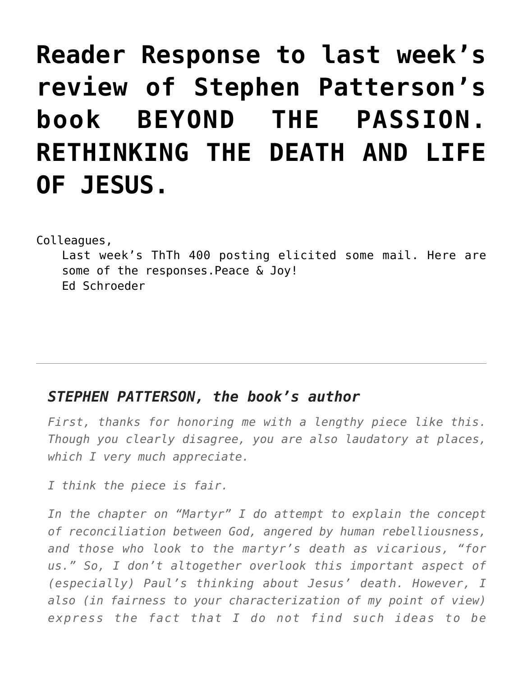# **[Reader Response to last week's](https://crossings.org/reader-response-to-last-weeks-review-of-stephen-pattersons-book-beyond-the-passion-rethinking-the-death-and-life-of-jesus/) [review of Stephen Patterson's](https://crossings.org/reader-response-to-last-weeks-review-of-stephen-pattersons-book-beyond-the-passion-rethinking-the-death-and-life-of-jesus/) [book BEYOND THE PASSION.](https://crossings.org/reader-response-to-last-weeks-review-of-stephen-pattersons-book-beyond-the-passion-rethinking-the-death-and-life-of-jesus/) [RETHINKING THE DEATH AND LIFE](https://crossings.org/reader-response-to-last-weeks-review-of-stephen-pattersons-book-beyond-the-passion-rethinking-the-death-and-life-of-jesus/) [OF JESUS.](https://crossings.org/reader-response-to-last-weeks-review-of-stephen-pattersons-book-beyond-the-passion-rethinking-the-death-and-life-of-jesus/)**

Colleagues,

Last week's ThTh 400 posting elicited some mail. Here are some of the responses.Peace & Joy! Ed Schroeder

#### *STEPHEN PATTERSON, the book's author*

*First, thanks for honoring me with a lengthy piece like this. Though you clearly disagree, you are also laudatory at places, which I very much appreciate.*

*I think the piece is fair.*

*In the chapter on "Martyr" I do attempt to explain the concept of reconciliation between God, angered by human rebelliousness, and those who look to the martyr's death as vicarious, "for us." So, I don't altogether overlook this important aspect of (especially) Paul's thinking about Jesus' death. However, I also (in fairness to your characterization of my point of view) express the fact that I do not find such ideas to be*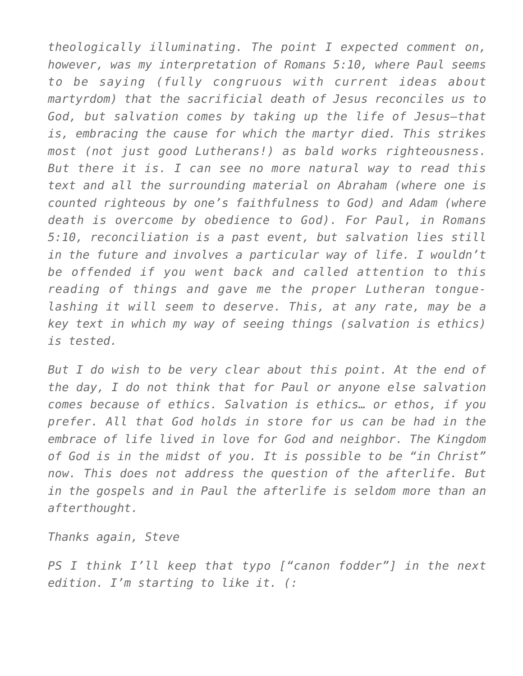*theologically illuminating. The point I expected comment on, however, was my interpretation of Romans 5:10, where Paul seems to be saying (fully congruous with current ideas about martyrdom) that the sacrificial death of Jesus reconciles us to God, but salvation comes by taking up the life of Jesus–that is, embracing the cause for which the martyr died. This strikes most (not just good Lutherans!) as bald works righteousness. But there it is. I can see no more natural way to read this text and all the surrounding material on Abraham (where one is counted righteous by one's faithfulness to God) and Adam (where death is overcome by obedience to God). For Paul, in Romans 5:10, reconciliation is a past event, but salvation lies still in the future and involves a particular way of life. I wouldn't be offended if you went back and called attention to this reading of things and gave me the proper Lutheran tonguelashing it will seem to deserve. This, at any rate, may be a key text in which my way of seeing things (salvation is ethics) is tested.*

*But I do wish to be very clear about this point. At the end of the day, I do not think that for Paul or anyone else salvation comes because of ethics. Salvation is ethics… or ethos, if you prefer. All that God holds in store for us can be had in the embrace of life lived in love for God and neighbor. The Kingdom of God is in the midst of you. It is possible to be "in Christ" now. This does not address the question of the afterlife. But in the gospels and in Paul the afterlife is seldom more than an afterthought.*

*Thanks again, Steve*

*PS I think I'll keep that typo ["canon fodder"] in the next edition. I'm starting to like it. (:*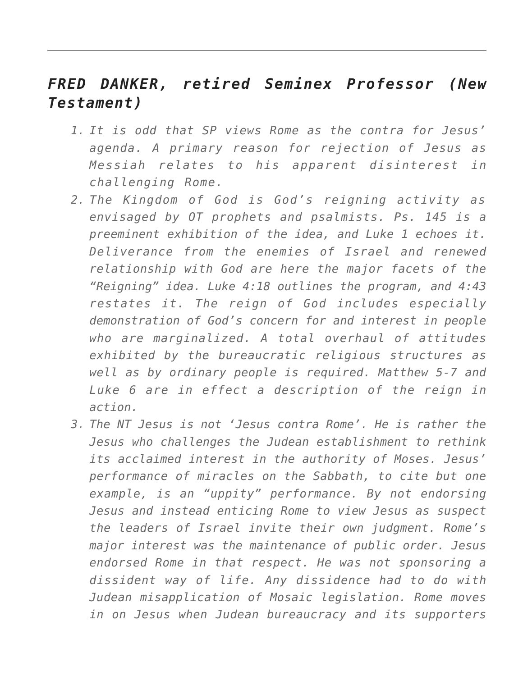## *FRED DANKER, retired Seminex Professor (New Testament)*

- *1. It is odd that SP views Rome as the contra for Jesus' agenda. A primary reason for rejection of Jesus as Messiah relates to his apparent disinterest in challenging Rome.*
- *2. The Kingdom of God is God's reigning activity as envisaged by OT prophets and psalmists. Ps. 145 is a preeminent exhibition of the idea, and Luke 1 echoes it. Deliverance from the enemies of Israel and renewed relationship with God are here the major facets of the "Reigning" idea. Luke 4:18 outlines the program, and 4:43 restates it. The reign of God includes especially demonstration of God's concern for and interest in people who are marginalized. A total overhaul of attitudes exhibited by the bureaucratic religious structures as well as by ordinary people is required. Matthew 5-7 and Luke 6 are in effect a description of the reign in action.*
- *3. The NT Jesus is not 'Jesus contra Rome'. He is rather the Jesus who challenges the Judean establishment to rethink its acclaimed interest in the authority of Moses. Jesus' performance of miracles on the Sabbath, to cite but one example, is an "uppity" performance. By not endorsing Jesus and instead enticing Rome to view Jesus as suspect the leaders of Israel invite their own judgment. Rome's major interest was the maintenance of public order. Jesus endorsed Rome in that respect. He was not sponsoring a dissident way of life. Any dissidence had to do with Judean misapplication of Mosaic legislation. Rome moves in on Jesus when Judean bureaucracy and its supporters*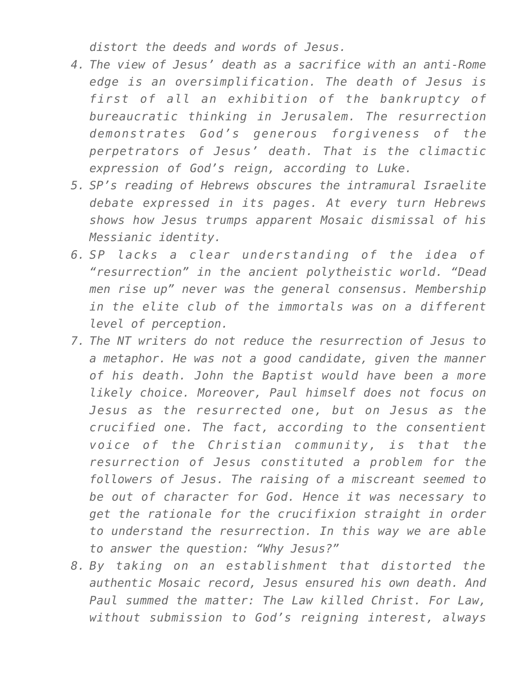*distort the deeds and words of Jesus.*

- *4. The view of Jesus' death as a sacrifice with an anti-Rome edge is an oversimplification. The death of Jesus is first of all an exhibition of the bankruptcy of bureaucratic thinking in Jerusalem. The resurrection demonstrates God's generous forgiveness of the perpetrators of Jesus' death. That is the climactic expression of God's reign, according to Luke.*
- *5. SP's reading of Hebrews obscures the intramural Israelite debate expressed in its pages. At every turn Hebrews shows how Jesus trumps apparent Mosaic dismissal of his Messianic identity.*
- *6. SP lacks a clear understanding of the idea of "resurrection" in the ancient polytheistic world. "Dead men rise up" never was the general consensus. Membership in the elite club of the immortals was on a different level of perception.*
- *7. The NT writers do not reduce the resurrection of Jesus to a metaphor. He was not a good candidate, given the manner of his death. John the Baptist would have been a more likely choice. Moreover, Paul himself does not focus on Jesus as the resurrected one, but on Jesus as the crucified one. The fact, according to the consentient voice of the Christian community, is that the resurrection of Jesus constituted a problem for the followers of Jesus. The raising of a miscreant seemed to be out of character for God. Hence it was necessary to get the rationale for the crucifixion straight in order to understand the resurrection. In this way we are able to answer the question: "Why Jesus?"*
- *8. By taking on an establishment that distorted the authentic Mosaic record, Jesus ensured his own death. And Paul summed the matter: The Law killed Christ. For Law, without submission to God's reigning interest, always*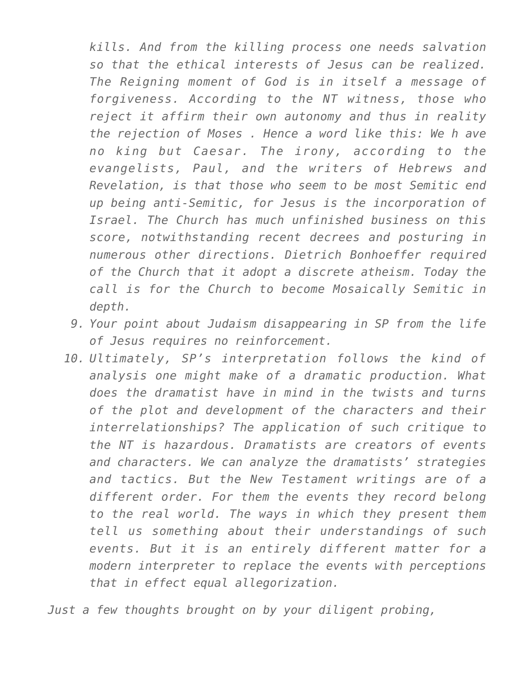*kills. And from the killing process one needs salvation so that the ethical interests of Jesus can be realized. The Reigning moment of God is in itself a message of forgiveness. According to the NT witness, those who reject it affirm their own autonomy and thus in reality the rejection of Moses . Hence a word like this: We h ave no king but Caesar. The irony, according to the evangelists, Paul, and the writers of Hebrews and Revelation, is that those who seem to be most Semitic end up being anti-Semitic, for Jesus is the incorporation of Israel. The Church has much unfinished business on this score, notwithstanding recent decrees and posturing in numerous other directions. Dietrich Bonhoeffer required of the Church that it adopt a discrete atheism. Today the call is for the Church to become Mosaically Semitic in depth.*

- *9. Your point about Judaism disappearing in SP from the life of Jesus requires no reinforcement.*
- *10. Ultimately, SP's interpretation follows the kind of analysis one might make of a dramatic production. What does the dramatist have in mind in the twists and turns of the plot and development of the characters and their interrelationships? The application of such critique to the NT is hazardous. Dramatists are creators of events and characters. We can analyze the dramatists' strategies and tactics. But the New Testament writings are of a different order. For them the events they record belong to the real world. The ways in which they present them tell us something about their understandings of such events. But it is an entirely different matter for a modern interpreter to replace the events with perceptions that in effect equal allegorization.*

*Just a few thoughts brought on by your diligent probing,*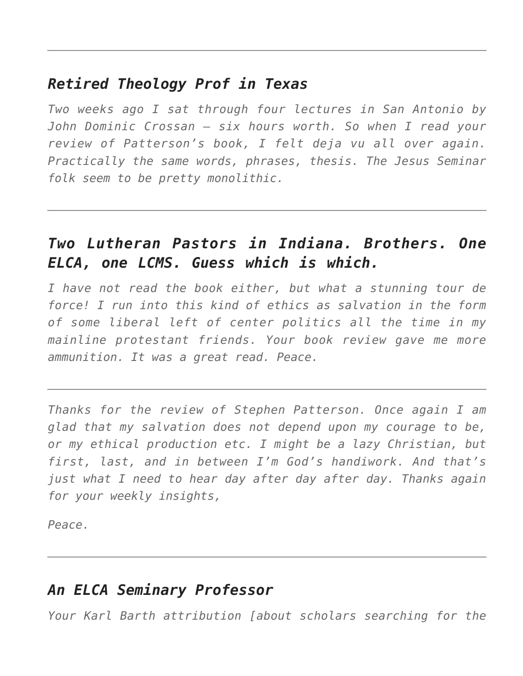#### *Retired Theology Prof in Texas*

*Two weeks ago I sat through four lectures in San Antonio by John Dominic Crossan — six hours worth. So when I read your review of Patterson's book, I felt deja vu all over again. Practically the same words, phrases, thesis. The Jesus Seminar folk seem to be pretty monolithic.*

## *Two Lutheran Pastors in Indiana. Brothers. One ELCA, one LCMS. Guess which is which.*

*I have not read the book either, but what a stunning tour de force! I run into this kind of ethics as salvation in the form of some liberal left of center politics all the time in my mainline protestant friends. Your book review gave me more ammunition. It was a great read. Peace.*

*Thanks for the review of Stephen Patterson. Once again I am glad that my salvation does not depend upon my courage to be, or my ethical production etc. I might be a lazy Christian, but first, last, and in between I'm God's handiwork. And that's just what I need to hear day after day after day. Thanks again for your weekly insights,*

*Peace.*

## *An ELCA Seminary Professor*

*Your Karl Barth attribution [about scholars searching for the*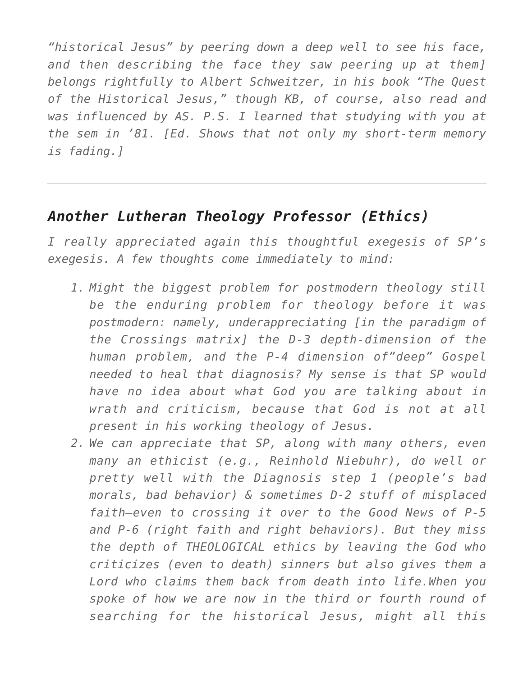*"historical Jesus" by peering down a deep well to see his face, and then describing the face they saw peering up at them] belongs rightfully to Albert Schweitzer, in his book "The Quest of the Historical Jesus," though KB, of course, also read and was influenced by AS. P.S. I learned that studying with you at the sem in '81. [Ed. Shows that not only my short-term memory is fading.]*

#### *Another Lutheran Theology Professor (Ethics)*

*I really appreciated again this thoughtful exegesis of SP's exegesis. A few thoughts come immediately to mind:*

- *1. Might the biggest problem for postmodern theology still be the enduring problem for theology before it was postmodern: namely, underappreciating [in the paradigm of the Crossings matrix] the D-3 depth-dimension of the human problem, and the P-4 dimension of"deep" Gospel needed to heal that diagnosis? My sense is that SP would have no idea about what God you are talking about in wrath and criticism, because that God is not at all present in his working theology of Jesus.*
- *2. We can appreciate that SP, along with many others, even many an ethicist (e.g., Reinhold Niebuhr), do well or pretty well with the Diagnosis step 1 (people's bad morals, bad behavior) & sometimes D-2 stuff of misplaced faith–even to crossing it over to the Good News of P-5 and P-6 (right faith and right behaviors). But they miss the depth of THEOLOGICAL ethics by leaving the God who criticizes (even to death) sinners but also gives them a Lord who claims them back from death into life.When you spoke of how we are now in the third or fourth round of searching for the historical Jesus, might all this*